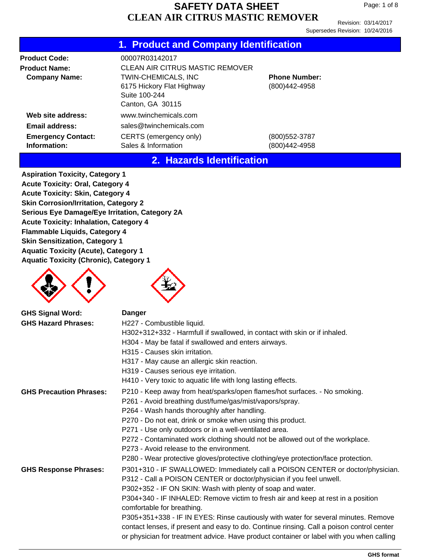Revision: 03/14/2017 Supersedes Revision: 10/24/2016

| 1. Product and Company Identification |  |  |
|---------------------------------------|--|--|
|                                       |  |  |

| <b>Product Code:</b>                                                                                                 | 00007R03142017                                |                                       |
|----------------------------------------------------------------------------------------------------------------------|-----------------------------------------------|---------------------------------------|
| <b>Product Name:</b>                                                                                                 | <b>CLEAN AIR CITRUS MASTIC REMOVER</b>        |                                       |
| <b>TWIN-CHEMICALS, INC</b><br><b>Company Name:</b><br>6175 Hickory Flat Highway<br>Suite 100-244<br>Canton, GA 30115 |                                               | <b>Phone Number:</b><br>(800)442-4958 |
| Web site address:                                                                                                    | www.twinchemicals.com                         |                                       |
| <b>Email address:</b>                                                                                                | sales@twinchemicals.com                       |                                       |
| <b>Emergency Contact:</b><br>Information:                                                                            | CERTS (emergency only)<br>Sales & Information | (800)552-3787<br>(800)442-4958        |

#### **2. Hazards Identification**

**Aspiration Toxicity, Category 1 Acute Toxicity: Oral, Category 4 Acute Toxicity: Skin, Category 4 Skin Corrosion/Irritation, Category 2 Serious Eye Damage/Eye Irritation, Category 2A Acute Toxicity: Inhalation, Category 4 Flammable Liquids, Category 4 Skin Sensitization, Category 1 Aquatic Toxicity (Acute), Category 1 Aquatic Toxicity (Chronic), Category 1**





| Danger                                                                                    |
|-------------------------------------------------------------------------------------------|
| H227 - Combustible liquid.                                                                |
| H302+312+332 - Harmfull if swallowed, in contact with skin or if inhaled.                 |
| H304 - May be fatal if swallowed and enters airways.                                      |
| H <sub>315</sub> - Causes skin irritation.                                                |
| H317 - May cause an allergic skin reaction.                                               |
| H319 - Causes serious eye irritation.                                                     |
| H410 - Very toxic to aquatic life with long lasting effects.                              |
| P210 - Keep away from heat/sparks/open flames/hot surfaces. - No smoking.                 |
| P261 - Avoid breathing dust/fume/gas/mist/vapors/spray.                                   |
| P264 - Wash hands thoroughly after handling.                                              |
| P270 - Do not eat, drink or smoke when using this product.                                |
| P271 - Use only outdoors or in a well-ventilated area.                                    |
| P272 - Contaminated work clothing should not be allowed out of the workplace.             |
| P273 - Avoid release to the environment.                                                  |
| P280 - Wear protective gloves/protective clothing/eye protection/face protection.         |
| P301+310 - IF SWALLOWED: Immediately call a POISON CENTER or doctor/physician.            |
| P312 - Call a POISON CENTER or doctor/physician if you feel unwell.                       |
| P302+352 - IF ON SKIN: Wash with plenty of soap and water.                                |
| P304+340 - IF INHALED: Remove victim to fresh air and keep at rest in a position          |
| comfortable for breathing.                                                                |
| P305+351+338 - IF IN EYES: Rinse cautiously with water for several minutes. Remove        |
| contact lenses, if present and easy to do. Continue rinsing. Call a poison control center |
| or physician for treatment advice. Have product container or label with you when calling  |
|                                                                                           |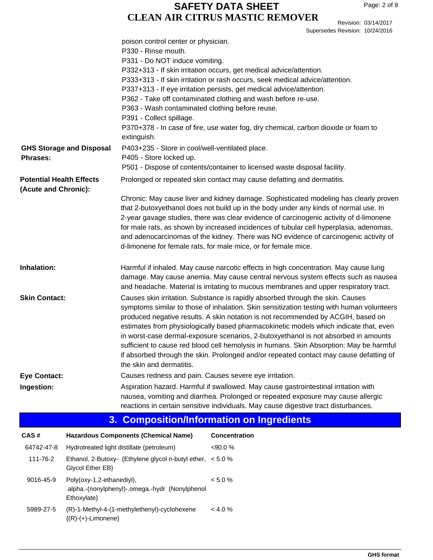Revision: 03/14/2017 Supersedes Revision: 10/24/2016

|                                                         | poison control center or physician.<br>P330 - Rinse mouth.                                                                                                                                                                                                                                                                                                                                                                                                                                                                                                                                                                                                       |
|---------------------------------------------------------|------------------------------------------------------------------------------------------------------------------------------------------------------------------------------------------------------------------------------------------------------------------------------------------------------------------------------------------------------------------------------------------------------------------------------------------------------------------------------------------------------------------------------------------------------------------------------------------------------------------------------------------------------------------|
|                                                         | P331 - Do NOT induce vomiting.                                                                                                                                                                                                                                                                                                                                                                                                                                                                                                                                                                                                                                   |
|                                                         | P332+313 - If skin irritation occurs, get medical advice/attention.                                                                                                                                                                                                                                                                                                                                                                                                                                                                                                                                                                                              |
|                                                         | P333+313 - If skin irritation or rash occurs, seek medical advice/attention.                                                                                                                                                                                                                                                                                                                                                                                                                                                                                                                                                                                     |
|                                                         | P337+313 - If eye irritation persists, get medical advice/attention.                                                                                                                                                                                                                                                                                                                                                                                                                                                                                                                                                                                             |
|                                                         | P362 - Take off contaminated clothing and wash before re-use.                                                                                                                                                                                                                                                                                                                                                                                                                                                                                                                                                                                                    |
|                                                         | P363 - Wash contaminated clothing before reuse.                                                                                                                                                                                                                                                                                                                                                                                                                                                                                                                                                                                                                  |
|                                                         | P391 - Collect spillage.                                                                                                                                                                                                                                                                                                                                                                                                                                                                                                                                                                                                                                         |
|                                                         | P370+378 - In case of fire, use water fog, dry chemical, carbon dioxide or foam to<br>extinguish.                                                                                                                                                                                                                                                                                                                                                                                                                                                                                                                                                                |
| <b>GHS Storage and Disposal</b>                         | P403+235 - Store in cool/well-ventilated place.                                                                                                                                                                                                                                                                                                                                                                                                                                                                                                                                                                                                                  |
| <b>Phrases:</b>                                         | P405 - Store locked up.                                                                                                                                                                                                                                                                                                                                                                                                                                                                                                                                                                                                                                          |
|                                                         | P501 - Dispose of contents/container to licensed waste disposal facility.                                                                                                                                                                                                                                                                                                                                                                                                                                                                                                                                                                                        |
| <b>Potential Health Effects</b><br>(Acute and Chronic): | Prolonged or repeated skin contact may cause defatting and dermatitis.                                                                                                                                                                                                                                                                                                                                                                                                                                                                                                                                                                                           |
|                                                         | Chronic: May cause liver and kidney damage. Sophisticated modeling has clearly proven<br>that 2-butoxyethanol does not build up in the body under any kinds of normal use. In<br>2-year gavage studies, there was clear evidence of carcinogenic activity of d-limonene<br>for male rats, as shown by increased incidences of tubular cell hyperplasia, adenomas,<br>and adenocarcinomas of the kidney. There was NO evidence of carcinogenic activity of<br>d-limonene for female rats, for male mice, or for female mice.                                                                                                                                      |
| Inhalation:                                             | Harmful if inhaled. May cause narcotic effects in high concentration. May cause lung<br>damage. May cause anemia. May cause central nervous system effects such as nausea<br>and headache. Material is irritating to mucous membranes and upper respiratory tract.                                                                                                                                                                                                                                                                                                                                                                                               |
| <b>Skin Contact:</b>                                    | Causes skin irritation. Substance is rapidly absorbed through the skin. Causes<br>symptoms similar to those of inhalation. Skin sensitization testing with human volunteers<br>produced negative results. A skin notation is not recommended by ACGIH, based on<br>estimates from physiologically based pharmacokinetic models which indicate that, even<br>in worst-case dermal-exposure scenarios, 2-butoxyethanol is not absorbed in amounts<br>sufficient to cause red blood cell hemolysis in humans. Skin Absorption: May be harmful<br>if absorbed through the skin. Prolonged and/or repeated contact may cause defatting of<br>the skin and dermatitis. |
| <b>Eye Contact:</b>                                     | Causes redness and pain. Causes severe eye irritation.                                                                                                                                                                                                                                                                                                                                                                                                                                                                                                                                                                                                           |
| Ingestion:                                              | Aspiration hazard. Harmful if swallowed. May cause gastrointestinal irritation with<br>nausea, vomiting and diarrhea. Prolonged or repeated exposure may cause allergic<br>reactions in certain sensitive individuals. May cause digestive tract disturbances.                                                                                                                                                                                                                                                                                                                                                                                                   |

## **3. Composition/Information on Ingredients**

| CAS#       | <b>Hazardous Components (Chemical Name)</b>                                                 | <b>Concentration</b> |
|------------|---------------------------------------------------------------------------------------------|----------------------|
| 64742-47-8 | Hydrotreated light distillate (petroleum)                                                   | $<90.0\%$            |
| 111-76-2   | Ethanol, 2-Butoxy- {Ethylene glycol n-butyl ether, $\leq 5.0$ %<br>Glycol Ether EB}         |                      |
| 9016-45-9  | Poly(oxy-1,2-ethanediyl),<br>.alpha.-(nonylphenyl)-.omega.-hydr {Nonylphenol<br>Ethoxylate} | $< 5.0 \%$           |
| 5989-27-5  | (R)-1-Methyl-4-(1-methylethenyl)-cyclohexene<br>$\{(R)-(+)$ -Limonene $\}$                  | < 4.0 %              |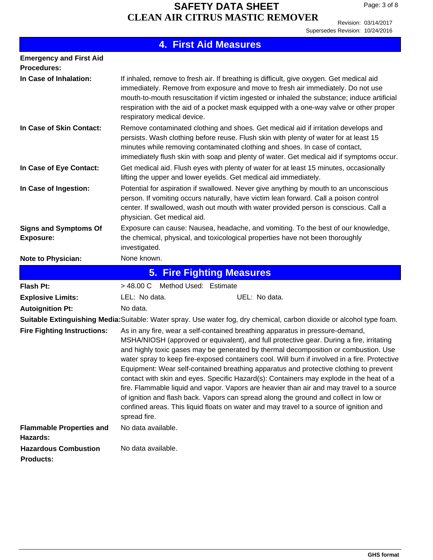Revision: 03/14/2017 Supersedes Revision: 10/24/2016

|                                                      | <b>4. First Aid Measures</b>                                                                                                                                                                                                                                                                                                                                                                                                                                                                                                                                                                                                                                                                                                                                                                                                                                                                                                                                                  |
|------------------------------------------------------|-------------------------------------------------------------------------------------------------------------------------------------------------------------------------------------------------------------------------------------------------------------------------------------------------------------------------------------------------------------------------------------------------------------------------------------------------------------------------------------------------------------------------------------------------------------------------------------------------------------------------------------------------------------------------------------------------------------------------------------------------------------------------------------------------------------------------------------------------------------------------------------------------------------------------------------------------------------------------------|
| <b>Emergency and First Aid</b><br><b>Procedures:</b> |                                                                                                                                                                                                                                                                                                                                                                                                                                                                                                                                                                                                                                                                                                                                                                                                                                                                                                                                                                               |
| In Case of Inhalation:                               | If inhaled, remove to fresh air. If breathing is difficult, give oxygen. Get medical aid<br>immediately. Remove from exposure and move to fresh air immediately. Do not use<br>mouth-to-mouth resuscitation if victim ingested or inhaled the substance; induce artificial<br>respiration with the aid of a pocket mask equipped with a one-way valve or other proper<br>respiratory medical device.                                                                                                                                                                                                                                                                                                                                                                                                                                                                                                                                                                          |
| In Case of Skin Contact:                             | Remove contaminated clothing and shoes. Get medical aid if irritation develops and<br>persists. Wash clothing before reuse. Flush skin with plenty of water for at least 15<br>minutes while removing contaminated clothing and shoes. In case of contact,<br>immediately flush skin with soap and plenty of water. Get medical aid if symptoms occur.                                                                                                                                                                                                                                                                                                                                                                                                                                                                                                                                                                                                                        |
| In Case of Eye Contact:                              | Get medical aid. Flush eyes with plenty of water for at least 15 minutes, occasionally<br>lifting the upper and lower eyelids. Get medical aid immediately.                                                                                                                                                                                                                                                                                                                                                                                                                                                                                                                                                                                                                                                                                                                                                                                                                   |
| In Case of Ingestion:                                | Potential for aspiration if swallowed. Never give anything by mouth to an unconscious<br>person. If vomiting occurs naturally, have victim lean forward. Call a poison control<br>center. If swallowed, wash out mouth with water provided person is conscious. Call a<br>physician. Get medical aid.                                                                                                                                                                                                                                                                                                                                                                                                                                                                                                                                                                                                                                                                         |
| <b>Signs and Symptoms Of</b><br><b>Exposure:</b>     | Exposure can cause: Nausea, headache, and vomiting. To the best of our knowledge,<br>the chemical, physical, and toxicological properties have not been thoroughly<br>investigated.                                                                                                                                                                                                                                                                                                                                                                                                                                                                                                                                                                                                                                                                                                                                                                                           |
| <b>Note to Physician:</b>                            | None known.                                                                                                                                                                                                                                                                                                                                                                                                                                                                                                                                                                                                                                                                                                                                                                                                                                                                                                                                                                   |
|                                                      | <b>5. Fire Fighting Measures</b>                                                                                                                                                                                                                                                                                                                                                                                                                                                                                                                                                                                                                                                                                                                                                                                                                                                                                                                                              |
| <b>Flash Pt:</b>                                     | > 48.00 C Method Used: Estimate                                                                                                                                                                                                                                                                                                                                                                                                                                                                                                                                                                                                                                                                                                                                                                                                                                                                                                                                               |
| <b>Explosive Limits:</b>                             | UEL: No data.<br>LEL: No data.                                                                                                                                                                                                                                                                                                                                                                                                                                                                                                                                                                                                                                                                                                                                                                                                                                                                                                                                                |
| <b>Autoignition Pt:</b>                              | No data.                                                                                                                                                                                                                                                                                                                                                                                                                                                                                                                                                                                                                                                                                                                                                                                                                                                                                                                                                                      |
| <b>Fire Fighting Instructions:</b>                   | Suitable Extinguishing Media: Suitable: Water spray. Use water fog, dry chemical, carbon dioxide or alcohol type foam.<br>As in any fire, wear a self-contained breathing apparatus in pressure-demand,<br>MSHA/NIOSH (approved or equivalent), and full protective gear. During a fire, irritating<br>and highly toxic gases may be generated by thermal decomposition or combustion. Use<br>water spray to keep fire-exposed containers cool. Will burn if involved in a fire. Protective<br>Equipment: Wear self-contained breathing apparatus and protective clothing to prevent<br>contact with skin and eyes. Specific Hazard(s): Containers may explode in the heat of a<br>fire. Flammable liquid and vapor. Vapors are heavier than air and may travel to a source<br>of ignition and flash back. Vapors can spread along the ground and collect in low or<br>confined areas. This liquid floats on water and may travel to a source of ignition and<br>spread fire. |
| <b>Flammable Properties and</b><br>Hazards:          | No data available.                                                                                                                                                                                                                                                                                                                                                                                                                                                                                                                                                                                                                                                                                                                                                                                                                                                                                                                                                            |
| <b>Hazardous Combustion</b><br><b>Products:</b>      | No data available.                                                                                                                                                                                                                                                                                                                                                                                                                                                                                                                                                                                                                                                                                                                                                                                                                                                                                                                                                            |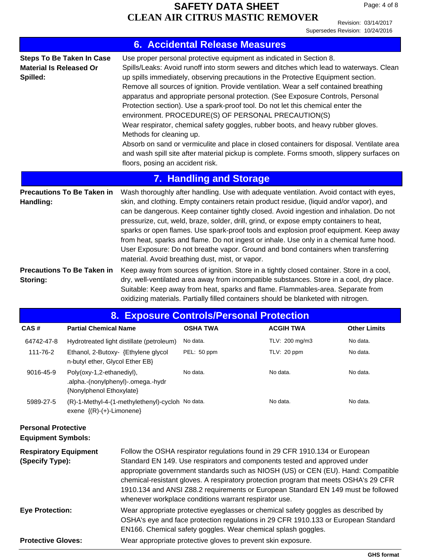Revision: 03/14/2017 Supersedes Revision: 10/24/2016

|                                                                                                 |                                                                                             |                                                                                                                                                                                                                                                                                                                                                                                                                                                                                                                                                                                                                                                                                                                                                                                                                                                                                                                                                                                                                                                                         | <b>6. Accidental Release Measures</b> |                                                                                                                                                                                                                                                                                                                                                                                                                                                                                                                                                                                                                                                                                                                                                                                                                                                        |                     |
|-------------------------------------------------------------------------------------------------|---------------------------------------------------------------------------------------------|-------------------------------------------------------------------------------------------------------------------------------------------------------------------------------------------------------------------------------------------------------------------------------------------------------------------------------------------------------------------------------------------------------------------------------------------------------------------------------------------------------------------------------------------------------------------------------------------------------------------------------------------------------------------------------------------------------------------------------------------------------------------------------------------------------------------------------------------------------------------------------------------------------------------------------------------------------------------------------------------------------------------------------------------------------------------------|---------------------------------------|--------------------------------------------------------------------------------------------------------------------------------------------------------------------------------------------------------------------------------------------------------------------------------------------------------------------------------------------------------------------------------------------------------------------------------------------------------------------------------------------------------------------------------------------------------------------------------------------------------------------------------------------------------------------------------------------------------------------------------------------------------------------------------------------------------------------------------------------------------|---------------------|
| <b>Material Is Released Or</b><br>Spilled:                                                      | <b>Steps To Be Taken In Case</b>                                                            | Methods for cleaning up.<br>floors, posing an accident risk.                                                                                                                                                                                                                                                                                                                                                                                                                                                                                                                                                                                                                                                                                                                                                                                                                                                                                                                                                                                                            |                                       | Use proper personal protective equipment as indicated in Section 8.<br>Spills/Leaks: Avoid runoff into storm sewers and ditches which lead to waterways. Clean<br>up spills immediately, observing precautions in the Protective Equipment section.<br>Remove all sources of ignition. Provide ventilation. Wear a self contained breathing<br>apparatus and appropriate personal protection. (See Exposure Controls, Personal<br>Protection section). Use a spark-proof tool. Do not let this chemical enter the<br>environment. PROCEDURE(S) OF PERSONAL PRECAUTION(S)<br>Wear respirator, chemical safety goggles, rubber boots, and heavy rubber gloves.<br>Absorb on sand or vermiculite and place in closed containers for disposal. Ventilate area<br>and wash spill site after material pickup is complete. Forms smooth, slippery surfaces on |                     |
|                                                                                                 |                                                                                             |                                                                                                                                                                                                                                                                                                                                                                                                                                                                                                                                                                                                                                                                                                                                                                                                                                                                                                                                                                                                                                                                         | <b>7. Handling and Storage</b>        |                                                                                                                                                                                                                                                                                                                                                                                                                                                                                                                                                                                                                                                                                                                                                                                                                                                        |                     |
| <b>Precautions To Be Taken in</b><br>Handling:<br><b>Precautions To Be Taken in</b><br>Storing: |                                                                                             | Wash thoroughly after handling. Use with adequate ventilation. Avoid contact with eyes,<br>skin, and clothing. Empty containers retain product residue, (liquid and/or vapor), and<br>can be dangerous. Keep container tightly closed. Avoid ingestion and inhalation. Do not<br>pressurize, cut, weld, braze, solder, drill, grind, or expose empty containers to heat,<br>sparks or open flames. Use spark-proof tools and explosion proof equipment. Keep away<br>from heat, sparks and flame. Do not ingest or inhale. Use only in a chemical fume hood.<br>User Exposure: Do not breathe vapor. Ground and bond containers when transferring<br>material. Avoid breathing dust, mist, or vapor.<br>Keep away from sources of ignition. Store in a tightly closed container. Store in a cool,<br>dry, well-ventilated area away from incompatible substances. Store in a cool, dry place.<br>Suitable: Keep away from heat, sparks and flame. Flammables-area. Separate from<br>oxidizing materials. Partially filled containers should be blanketed with nitrogen. |                                       |                                                                                                                                                                                                                                                                                                                                                                                                                                                                                                                                                                                                                                                                                                                                                                                                                                                        |                     |
|                                                                                                 |                                                                                             |                                                                                                                                                                                                                                                                                                                                                                                                                                                                                                                                                                                                                                                                                                                                                                                                                                                                                                                                                                                                                                                                         |                                       | 8. Exposure Controls/Personal Protection                                                                                                                                                                                                                                                                                                                                                                                                                                                                                                                                                                                                                                                                                                                                                                                                               |                     |
| CAS#                                                                                            | <b>Partial Chemical Name</b>                                                                |                                                                                                                                                                                                                                                                                                                                                                                                                                                                                                                                                                                                                                                                                                                                                                                                                                                                                                                                                                                                                                                                         | <b>OSHA TWA</b>                       | <b>ACGIH TWA</b>                                                                                                                                                                                                                                                                                                                                                                                                                                                                                                                                                                                                                                                                                                                                                                                                                                       | <b>Other Limits</b> |
| 64742-47-8                                                                                      |                                                                                             | Hydrotreated light distillate (petroleum)                                                                                                                                                                                                                                                                                                                                                                                                                                                                                                                                                                                                                                                                                                                                                                                                                                                                                                                                                                                                                               | No data.                              | TLV: 200 mg/m3                                                                                                                                                                                                                                                                                                                                                                                                                                                                                                                                                                                                                                                                                                                                                                                                                                         | No data.            |
| 111-76-2                                                                                        | Ethanol, 2-Butoxy- {Ethylene glycol<br>n-butyl ether, Glycol Ether EB}                      |                                                                                                                                                                                                                                                                                                                                                                                                                                                                                                                                                                                                                                                                                                                                                                                                                                                                                                                                                                                                                                                                         | PEL: 50 ppm                           | TLV: 20 ppm                                                                                                                                                                                                                                                                                                                                                                                                                                                                                                                                                                                                                                                                                                                                                                                                                                            | No data.            |
| 9016-45-9                                                                                       | Poly(oxy-1,2-ethanediyl),<br>.alpha.-(nonylphenyl)-.omega.-hydr<br>{Nonylphenol Ethoxylate} |                                                                                                                                                                                                                                                                                                                                                                                                                                                                                                                                                                                                                                                                                                                                                                                                                                                                                                                                                                                                                                                                         | No data.                              | No data.                                                                                                                                                                                                                                                                                                                                                                                                                                                                                                                                                                                                                                                                                                                                                                                                                                               | No data.            |
| 5989-27-5                                                                                       | (R)-1-Methyl-4-(1-methylethenyl)-cycloh No data.<br>exene ${(R)-(+)$ -Limonene}             |                                                                                                                                                                                                                                                                                                                                                                                                                                                                                                                                                                                                                                                                                                                                                                                                                                                                                                                                                                                                                                                                         |                                       | No data.                                                                                                                                                                                                                                                                                                                                                                                                                                                                                                                                                                                                                                                                                                                                                                                                                                               | No data.            |
| <b>Personal Protective</b><br><b>Equipment Symbols:</b>                                         |                                                                                             |                                                                                                                                                                                                                                                                                                                                                                                                                                                                                                                                                                                                                                                                                                                                                                                                                                                                                                                                                                                                                                                                         |                                       |                                                                                                                                                                                                                                                                                                                                                                                                                                                                                                                                                                                                                                                                                                                                                                                                                                                        |                     |
| <b>Respiratory Equipment</b><br>(Specify Type):                                                 |                                                                                             | Follow the OSHA respirator regulations found in 29 CFR 1910.134 or European<br>Standard EN 149. Use respirators and components tested and approved under<br>appropriate government standards such as NIOSH (US) or CEN (EU). Hand: Compatible<br>chemical-resistant gloves. A respiratory protection program that meets OSHA's 29 CFR<br>1910.134 and ANSI Z88.2 requirements or European Standard EN 149 must be followed<br>whenever workplace conditions warrant respirator use.                                                                                                                                                                                                                                                                                                                                                                                                                                                                                                                                                                                     |                                       |                                                                                                                                                                                                                                                                                                                                                                                                                                                                                                                                                                                                                                                                                                                                                                                                                                                        |                     |
| <b>Eye Protection:</b>                                                                          |                                                                                             | Wear appropriate protective eyeglasses or chemical safety goggles as described by<br>OSHA's eye and face protection regulations in 29 CFR 1910.133 or European Standard<br>EN166. Chemical safety goggles. Wear chemical splash goggles.                                                                                                                                                                                                                                                                                                                                                                                                                                                                                                                                                                                                                                                                                                                                                                                                                                |                                       |                                                                                                                                                                                                                                                                                                                                                                                                                                                                                                                                                                                                                                                                                                                                                                                                                                                        |                     |

**Protective Gloves:** Wear appropriate protective gloves to prevent skin exposure.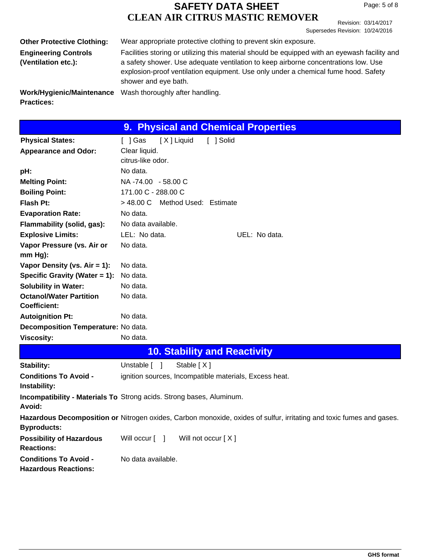Revision: 03/14/2017 Supersedes Revision: 10/24/2016

| <b>Other Protective Clothing:</b>                  | Wear appropriate protective clothing to prevent skin exposure.                                                                                                                                                                                                                                    |
|----------------------------------------------------|---------------------------------------------------------------------------------------------------------------------------------------------------------------------------------------------------------------------------------------------------------------------------------------------------|
| <b>Engineering Controls</b><br>(Ventilation etc.): | Facilities storing or utilizing this material should be equipped with an eyewash facility and<br>a safety shower. Use adequate ventilation to keep airborne concentrations low. Use<br>explosion-proof ventilation equipment. Use only under a chemical fume hood. Safety<br>shower and eye bath. |
| Work/Hygienic/Maintenance<br><b>Practices:</b>     | Wash thoroughly after handling.                                                                                                                                                                                                                                                                   |

|                                              | 9. Physical and Chemical Properties                                                                                  |
|----------------------------------------------|----------------------------------------------------------------------------------------------------------------------|
| <b>Physical States:</b>                      | [X] Liquid<br>[ ] Solid<br>[ ] Gas                                                                                   |
| <b>Appearance and Odor:</b>                  | Clear liquid.                                                                                                        |
|                                              | citrus-like odor.                                                                                                    |
| pH:                                          | No data.                                                                                                             |
| <b>Melting Point:</b>                        | NA -74.00 - 58.00 C                                                                                                  |
| <b>Boiling Point:</b>                        | 171.00 C - 288.00 C                                                                                                  |
| Flash Pt:                                    | > 48.00 C Method Used: Estimate                                                                                      |
| <b>Evaporation Rate:</b>                     | No data.                                                                                                             |
| Flammability (solid, gas):                   | No data available.                                                                                                   |
| <b>Explosive Limits:</b>                     | LEL: No data.<br>UEL: No data.                                                                                       |
| Vapor Pressure (vs. Air or                   | No data.                                                                                                             |
| mm Hg):                                      |                                                                                                                      |
| Vapor Density (vs. $Air = 1$ ):              | No data.                                                                                                             |
| Specific Gravity (Water $= 1$ ):             | No data.                                                                                                             |
| <b>Solubility in Water:</b>                  | No data.                                                                                                             |
| <b>Octanol/Water Partition</b>               | No data.                                                                                                             |
| Coefficient:                                 |                                                                                                                      |
| <b>Autoignition Pt:</b>                      | No data.                                                                                                             |
| Decomposition Temperature: No data.          |                                                                                                                      |
| <b>Viscosity:</b>                            | No data.                                                                                                             |
|                                              | <b>10. Stability and Reactivity</b>                                                                                  |
| Stability:                                   | Stable $[X]$<br>Unstable [ ]                                                                                         |
| <b>Conditions To Avoid -</b><br>Instability: | ignition sources, Incompatible materials, Excess heat.                                                               |
| Avoid:                                       | <b>Incompatibility - Materials To Strong acids. Strong bases, Aluminum.</b>                                          |
| <b>Byproducts:</b>                           | Hazardous Decomposition or Nitrogen oxides, Carbon monoxide, oxides of sulfur, irritating and toxic fumes and gases. |

| <b>Possibility of Hazardous</b><br><b>Reactions:</b> | Will occur [ ]     | Will not occur $[X]$ |
|------------------------------------------------------|--------------------|----------------------|
| <b>Conditions To Avoid -</b>                         | No data available. |                      |
| <b>Hazardous Reactions:</b>                          |                    |                      |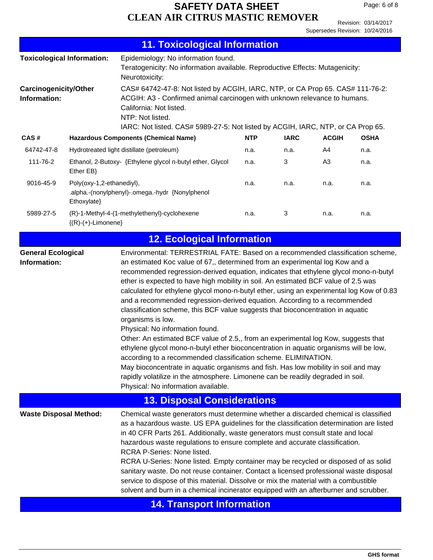Revision: 03/14/2017 Supersedes Revision: 10/24/2016

| <b>11. Toxicological Information</b>                  |                                                                                                                                                                                                                                                                                                                                                                                                                                                                                                                                                                                                                                                                                                                                                                                                                                                                                                                                                                                                                                                                                                                                   |            |             |                |             |
|-------------------------------------------------------|-----------------------------------------------------------------------------------------------------------------------------------------------------------------------------------------------------------------------------------------------------------------------------------------------------------------------------------------------------------------------------------------------------------------------------------------------------------------------------------------------------------------------------------------------------------------------------------------------------------------------------------------------------------------------------------------------------------------------------------------------------------------------------------------------------------------------------------------------------------------------------------------------------------------------------------------------------------------------------------------------------------------------------------------------------------------------------------------------------------------------------------|------------|-------------|----------------|-------------|
| <b>Toxicological Information:</b>                     | Epidemiology: No information found.<br>Teratogenicity: No information available. Reproductive Effects: Mutagenicity:<br>Neurotoxicity:                                                                                                                                                                                                                                                                                                                                                                                                                                                                                                                                                                                                                                                                                                                                                                                                                                                                                                                                                                                            |            |             |                |             |
| Carcinogenicity/Other<br>Information:                 | CAS# 64742-47-8: Not listed by ACGIH, IARC, NTP, or CA Prop 65. CAS# 111-76-2:<br>ACGIH: A3 - Confirmed animal carcinogen with unknown relevance to humans.<br>California: Not listed.<br>NTP: Not listed.<br>IARC: Not listed. CAS# 5989-27-5: Not listed by ACGIH, IARC, NTP, or CA Prop 65.                                                                                                                                                                                                                                                                                                                                                                                                                                                                                                                                                                                                                                                                                                                                                                                                                                    |            |             |                |             |
| CAS#                                                  | <b>Hazardous Components (Chemical Name)</b>                                                                                                                                                                                                                                                                                                                                                                                                                                                                                                                                                                                                                                                                                                                                                                                                                                                                                                                                                                                                                                                                                       | <b>NTP</b> | <b>IARC</b> | <b>ACGIH</b>   | <b>OSHA</b> |
| 64742-47-8                                            | Hydrotreated light distillate (petroleum)                                                                                                                                                                                                                                                                                                                                                                                                                                                                                                                                                                                                                                                                                                                                                                                                                                                                                                                                                                                                                                                                                         | n.a.       | n.a.        | A4             | n.a.        |
| 111-76-2<br>Ether EB}                                 | Ethanol, 2-Butoxy- {Ethylene glycol n-butyl ether, Glycol                                                                                                                                                                                                                                                                                                                                                                                                                                                                                                                                                                                                                                                                                                                                                                                                                                                                                                                                                                                                                                                                         | n.a.       | 3           | A <sub>3</sub> | n.a.        |
| Poly(oxy-1,2-ethanediyl),<br>9016-45-9<br>Ethoxylate} | .alpha.-(nonylphenyl)-.omega.-hydr {Nonylphenol                                                                                                                                                                                                                                                                                                                                                                                                                                                                                                                                                                                                                                                                                                                                                                                                                                                                                                                                                                                                                                                                                   | n.a.       | n.a.        | n.a.           | n.a.        |
| 5989-27-5<br>$\{(R)-(+)$ -Limonene $\}$               | (R)-1-Methyl-4-(1-methylethenyl)-cyclohexene                                                                                                                                                                                                                                                                                                                                                                                                                                                                                                                                                                                                                                                                                                                                                                                                                                                                                                                                                                                                                                                                                      | n.a.       | 3           | n.a.           | n.a.        |
|                                                       | <b>12. Ecological Information</b>                                                                                                                                                                                                                                                                                                                                                                                                                                                                                                                                                                                                                                                                                                                                                                                                                                                                                                                                                                                                                                                                                                 |            |             |                |             |
| <b>General Ecological</b><br>Information:             | Environmental: TERRESTRIAL FATE: Based on a recommended classification scheme,<br>an estimated Koc value of 67,, determined from an experimental log Kow and a<br>recommended regression-derived equation, indicates that ethylene glycol mono-n-butyl<br>ether is expected to have high mobility in soil. An estimated BCF value of 2.5 was<br>calculated for ethylene glycol mono-n-butyl ether, using an experimental log Kow of 0.83<br>and a recommended regression-derived equation. According to a recommended<br>classification scheme, this BCF value suggests that bioconcentration in aquatic<br>organisms is low.<br>Physical: No information found.<br>Other: An estimated BCF value of 2.5,, from an experimental log Kow, suggests that<br>ethylene glycol mono-n-butyl ether bioconcentration in aquatic organisms will be low,<br>according to a recommended classification scheme. ELIMINATION.<br>May bioconcentrate in aquatic organisms and fish. Has low mobility in soil and may<br>rapidly volatilize in the atmosphere. Limonene can be readily degraded in soil.<br>Physical: No information available. |            |             |                |             |
|                                                       | <b>13. Disposal Considerations</b>                                                                                                                                                                                                                                                                                                                                                                                                                                                                                                                                                                                                                                                                                                                                                                                                                                                                                                                                                                                                                                                                                                |            |             |                |             |
| <b>Waste Disposal Method:</b>                         | Chemical waste generators must determine whether a discarded chemical is classified<br>as a hazardous waste. US EPA guidelines for the classification determination are listed<br>in 40 CFR Parts 261. Additionally, waste generators must consult state and local<br>hazardous waste regulations to ensure complete and accurate classification.<br>RCRA P-Series: None listed.<br>RCRA U-Series: None listed. Empty container may be recycled or disposed of as solid<br>sanitary waste. Do not reuse container. Contact a licensed professional waste disposal<br>service to dispose of this material. Dissolve or mix the material with a combustible<br>solvent and burn in a chemical incinerator equipped with an afterburner and scrubber.                                                                                                                                                                                                                                                                                                                                                                                |            |             |                |             |
|                                                       |                                                                                                                                                                                                                                                                                                                                                                                                                                                                                                                                                                                                                                                                                                                                                                                                                                                                                                                                                                                                                                                                                                                                   |            |             |                |             |